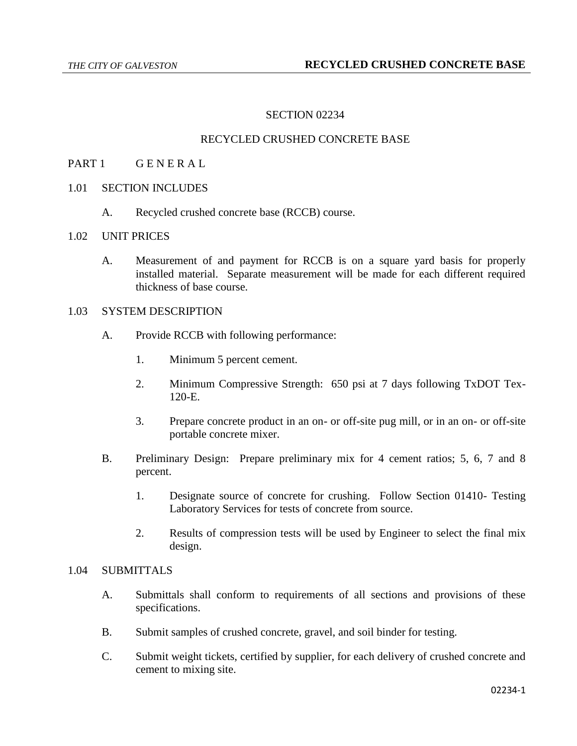# SECTION 02234

### RECYCLED CRUSHED CONCRETE BASE

### PART 1 GENERAL

## 1.01 SECTION INCLUDES

A. Recycled crushed concrete base (RCCB) course.

#### 1.02 UNIT PRICES

A. Measurement of and payment for RCCB is on a square yard basis for properly installed material. Separate measurement will be made for each different required thickness of base course.

### 1.03 SYSTEM DESCRIPTION

- A. Provide RCCB with following performance:
	- 1. Minimum 5 percent cement.
	- 2. Minimum Compressive Strength: 650 psi at 7 days following TxDOT Tex-120-E.
	- 3. Prepare concrete product in an on- or off-site pug mill, or in an on- or off-site portable concrete mixer.
- B. Preliminary Design: Prepare preliminary mix for 4 cement ratios; 5, 6, 7 and 8 percent.
	- 1. Designate source of concrete for crushing. Follow Section 01410- Testing Laboratory Services for tests of concrete from source.
	- 2. Results of compression tests will be used by Engineer to select the final mix design.

### 1.04 SUBMITTALS

- A. Submittals shall conform to requirements of all sections and provisions of these specifications.
- B. Submit samples of crushed concrete, gravel, and soil binder for testing.
- C. Submit weight tickets, certified by supplier, for each delivery of crushed concrete and cement to mixing site.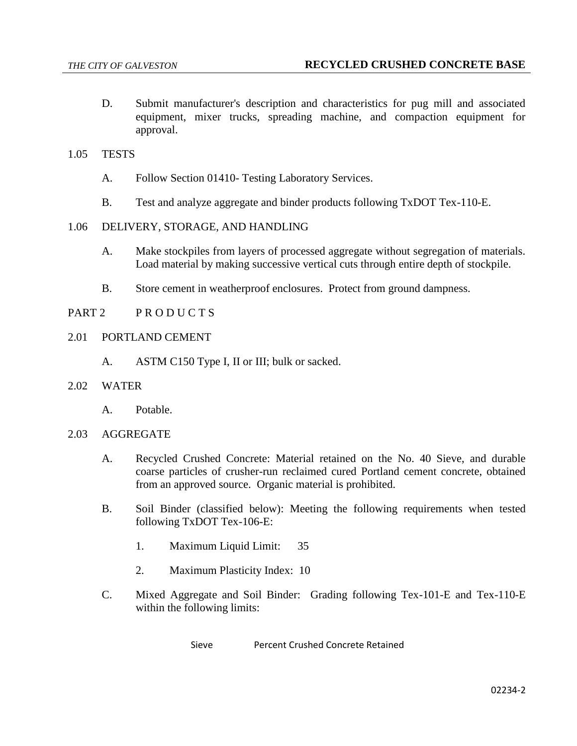D. Submit manufacturer's description and characteristics for pug mill and associated equipment, mixer trucks, spreading machine, and compaction equipment for approval.

### 1.05 TESTS

- A. Follow Section 01410- Testing Laboratory Services.
- B. Test and analyze aggregate and binder products following TxDOT Tex-110-E.
- 1.06 DELIVERY, STORAGE, AND HANDLING
	- A. Make stockpiles from layers of processed aggregate without segregation of materials. Load material by making successive vertical cuts through entire depth of stockpile.
	- B. Store cement in weatherproof enclosures. Protect from ground dampness.
- PART 2 PRODUCTS
- 2.01 PORTLAND CEMENT
	- A. ASTM C150 Type I, II or III; bulk or sacked.
- 2.02 WATER
	- A. Potable.
- 2.03 AGGREGATE
	- A. Recycled Crushed Concrete: Material retained on the No. 40 Sieve, and durable coarse particles of crusher-run reclaimed cured Portland cement concrete, obtained from an approved source. Organic material is prohibited.
	- B. Soil Binder (classified below): Meeting the following requirements when tested following TxDOT Tex-106-E:
		- 1. Maximum Liquid Limit: 35
		- 2. Maximum Plasticity Index: 10
	- C. Mixed Aggregate and Soil Binder: Grading following Tex-101-E and Tex-110-E within the following limits:

Sieve Percent Crushed Concrete Retained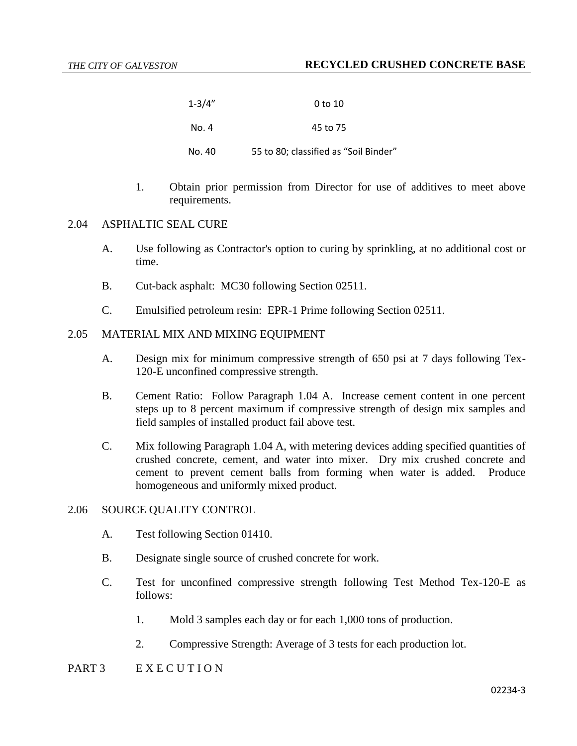| $1 - 3/4"$ | 0 to 10                               |
|------------|---------------------------------------|
| No. 4      | 45 to 75                              |
| No. 40     | 55 to 80; classified as "Soil Binder" |

1. Obtain prior permission from Director for use of additives to meet above requirements.

### 2.04 ASPHALTIC SEAL CURE

- A. Use following as Contractor's option to curing by sprinkling, at no additional cost or time.
- B. Cut-back asphalt: MC30 following Section 02511.
- C. Emulsified petroleum resin: EPR-1 Prime following Section 02511.

### 2.05 MATERIAL MIX AND MIXING EQUIPMENT

- A. Design mix for minimum compressive strength of 650 psi at 7 days following Tex-120-E unconfined compressive strength.
- B. Cement Ratio: Follow Paragraph 1.04 A. Increase cement content in one percent steps up to 8 percent maximum if compressive strength of design mix samples and field samples of installed product fail above test.
- C. Mix following Paragraph 1.04 A, with metering devices adding specified quantities of crushed concrete, cement, and water into mixer. Dry mix crushed concrete and cement to prevent cement balls from forming when water is added. Produce homogeneous and uniformly mixed product.

### 2.06 SOURCE QUALITY CONTROL

- A. Test following Section 01410.
- B. Designate single source of crushed concrete for work.
- C. Test for unconfined compressive strength following Test Method Tex-120-E as follows:
	- 1. Mold 3 samples each day or for each 1,000 tons of production.
	- 2. Compressive Strength: Average of 3 tests for each production lot.

### PART 3 E X E C U T I O N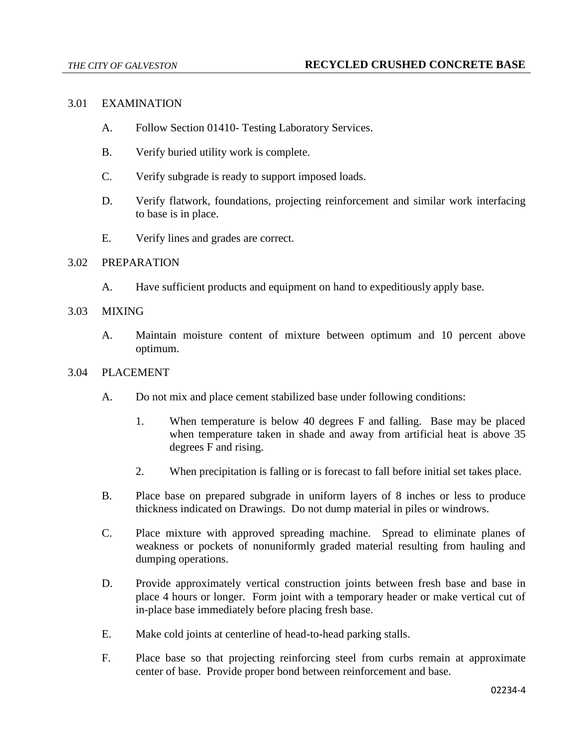## 3.01 EXAMINATION

- A. Follow Section 01410- Testing Laboratory Services.
- B. Verify buried utility work is complete.
- C. Verify subgrade is ready to support imposed loads.
- D. Verify flatwork, foundations, projecting reinforcement and similar work interfacing to base is in place.
- E. Verify lines and grades are correct.

### 3.02 PREPARATION

A. Have sufficient products and equipment on hand to expeditiously apply base.

### 3.03 MIXING

A. Maintain moisture content of mixture between optimum and 10 percent above optimum.

### 3.04 PLACEMENT

- A. Do not mix and place cement stabilized base under following conditions:
	- 1. When temperature is below 40 degrees F and falling. Base may be placed when temperature taken in shade and away from artificial heat is above 35 degrees F and rising.
	- 2. When precipitation is falling or is forecast to fall before initial set takes place.
- B. Place base on prepared subgrade in uniform layers of 8 inches or less to produce thickness indicated on Drawings. Do not dump material in piles or windrows.
- C. Place mixture with approved spreading machine. Spread to eliminate planes of weakness or pockets of nonuniformly graded material resulting from hauling and dumping operations.
- D. Provide approximately vertical construction joints between fresh base and base in place 4 hours or longer. Form joint with a temporary header or make vertical cut of in-place base immediately before placing fresh base.
- E. Make cold joints at centerline of head-to-head parking stalls.
- F. Place base so that projecting reinforcing steel from curbs remain at approximate center of base. Provide proper bond between reinforcement and base.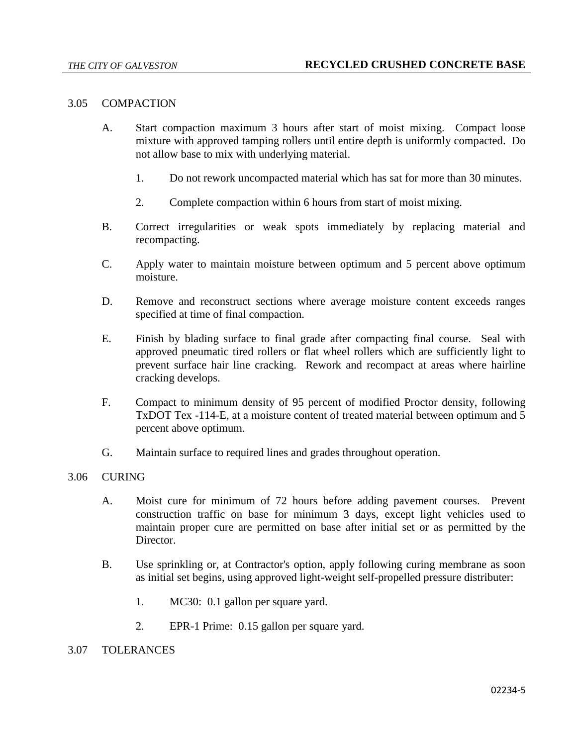### 3.05 COMPACTION

- A. Start compaction maximum 3 hours after start of moist mixing. Compact loose mixture with approved tamping rollers until entire depth is uniformly compacted. Do not allow base to mix with underlying material.
	- 1. Do not rework uncompacted material which has sat for more than 30 minutes.
	- 2. Complete compaction within 6 hours from start of moist mixing.
- B. Correct irregularities or weak spots immediately by replacing material and recompacting.
- C. Apply water to maintain moisture between optimum and 5 percent above optimum moisture.
- D. Remove and reconstruct sections where average moisture content exceeds ranges specified at time of final compaction.
- E. Finish by blading surface to final grade after compacting final course. Seal with approved pneumatic tired rollers or flat wheel rollers which are sufficiently light to prevent surface hair line cracking. Rework and recompact at areas where hairline cracking develops.
- F. Compact to minimum density of 95 percent of modified Proctor density, following TxDOT Tex -114-E, at a moisture content of treated material between optimum and 5 percent above optimum.
- G. Maintain surface to required lines and grades throughout operation.

## 3.06 CURING

- A. Moist cure for minimum of 72 hours before adding pavement courses. Prevent construction traffic on base for minimum 3 days, except light vehicles used to maintain proper cure are permitted on base after initial set or as permitted by the Director.
- B. Use sprinkling or, at Contractor's option, apply following curing membrane as soon as initial set begins, using approved light-weight self-propelled pressure distributer:
	- 1. MC30: 0.1 gallon per square yard.
	- 2. EPR-1 Prime: 0.15 gallon per square yard.

### 3.07 TOLERANCES